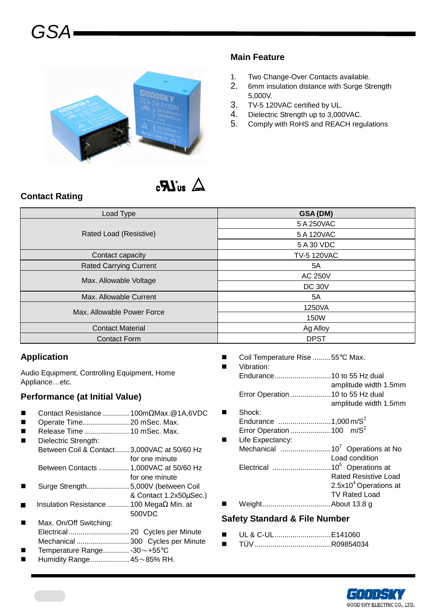

#### **Main Feature**

- 1. Two Change-Over Contacts available.
- 2. 6mm insulation distance with Surge Strength 5,000V.
- 3. TV-5 120VAC certified by UL.
- 4. Dielectric Strength up to 3,000VAC.
- 5. Comply with RoHS and REACH regulations

# $\Delta$  au  $\bm{R}_3$

#### **Contact Rating**

| Load Type                     | GSA (DM)           |  |  |  |
|-------------------------------|--------------------|--|--|--|
|                               | 5 A 250VAC         |  |  |  |
| Rated Load (Resistive)        | 5 A 120VAC         |  |  |  |
|                               | 5 A 30 VDC         |  |  |  |
| Contact capacity              | <b>TV-5 120VAC</b> |  |  |  |
| <b>Rated Carrying Current</b> | 5A                 |  |  |  |
| Max. Allowable Voltage        | <b>AC 250V</b>     |  |  |  |
|                               | <b>DC 30V</b>      |  |  |  |
| Max. Allowable Current        | 5A                 |  |  |  |
| Max, Allowable Power Force    | 1250VA             |  |  |  |
|                               | 150W               |  |  |  |
| <b>Contact Material</b>       | Ag Alloy           |  |  |  |
| <b>Contact Form</b>           | <b>DPST</b>        |  |  |  |

#### **Application**

Audio Equipment, Controlling Equipment, Home Appliance…etc.

#### **Performance (at Initial Value)**

- Contact Resistance ............. 100mΩMax.@1A,6VDC
- Operate Time....................... 20 mSec. Max.
- Release Time ...................... 10 mSec. Max.
- Dielectric Strength: Between Coil & Contact....... 3,000VAC at 50/60 Hz for one minute
	- Between Contacts ............... 1,000VAC at 50/60 Hz
- for one minute Surge Strength..................... 5,000V (between Coil
- & Contact 1.2x50µSec.)
- Insulation Resistance ........... 100 MegaΩ Min. at 500VDC
- Max. On/Off Switching: Electrical.............................. 20 Cycles per Minute Mechanical .......................... 300 Cycles per Minute
- Temperature Range............. -30~+55°C
- Humidity Range................... 45~85% RH.
- Coil Temperature Rise .........55°C Max.
- Vibration: Endurance............................10 to 55 Hz dual amplitude width 1.5mm Error Operation ....................10 to 55 Hz dual amplitude width 1.5mm Shock: Endurance  $\ldots$ .............................1,000 m/S<sup>2</sup> Error Operation .......................100 m/ $S^2$  Life Expectancy: Mechanical .........................10<sup>7</sup>Operations at No Load condition Electrical .............................10<sup>5</sup>Operations at Rated Resistive Load  $2.5x10<sup>4</sup>$  Operations at
- Weight..................................About 13.8 g **Safety Standard & File Number**
- UL & C-UL............................E141060
- TÜV......................................R09854034



TV Rated Load